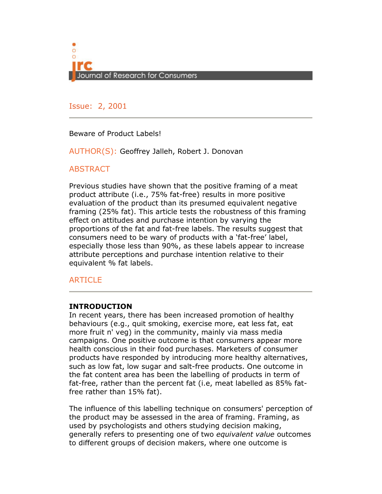

Issue: 2, 2001

Beware of Product Labels!

AUTHOR(S): Geoffrey Jalleh, Robert J. Donovan

# **ABSTRACT**

Previous studies have shown that the positive framing of a meat product attribute (i.e., 75% fat-free) results in more positive evaluation of the product than its presumed equivalent negative framing (25% fat). This article tests the robustness of this framing effect on attitudes and purchase intention by varying the proportions of the fat and fat-free labels. The results suggest that consumers need to be wary of products with a 'fat-free' label, especially those less than 90%, as these labels appear to increase attribute perceptions and purchase intention relative to their equivalent % fat labels.

## **ARTICLE**

## INTRODUCTION

In recent years, there has been increased promotion of healthy behaviours (e.g., quit smoking, exercise more, eat less fat, eat more fruit n' veg) in the community, mainly via mass media campaigns. One positive outcome is that consumers appear more health conscious in their food purchases. Marketers of consumer products have responded by introducing more healthy alternatives, such as low fat, low sugar and salt-free products. One outcome in the fat content area has been the labelling of products in term of fat-free, rather than the percent fat (i.e, meat labelled as 85% fatfree rather than 15% fat).

The influence of this labelling technique on consumers' perception of the product may be assessed in the area of framing. Framing, as used by psychologists and others studying decision making, generally refers to presenting one of two equivalent value outcomes to different groups of decision makers, where one outcome is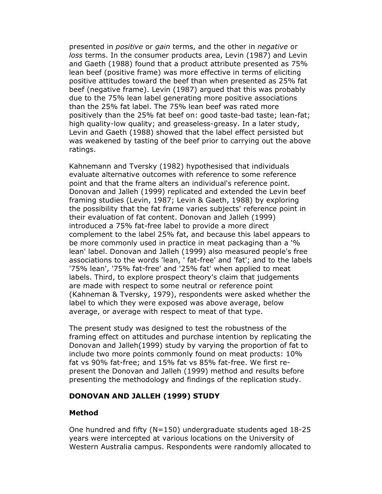presented in positive or gain terms, and the other in negative or loss terms. In the consumer products area, Levin (1987) and Levin and Gaeth (1988) found that a product attribute presented as 75% lean beef (positive frame) was more effective in terms of eliciting positive attitudes toward the beef than when presented as 25% fat beef (negative frame). Levin (1987) argued that this was probably due to the 75% lean label generating more positive associations than the 25% fat label. The 75% lean beef was rated more positively than the 25% fat beef on: good taste-bad taste; lean-fat; high quality-low quality; and greaseless-greasy. In a later study, Levin and Gaeth (1988) showed that the label effect persisted but was weakened by tasting of the beef prior to carrying out the above ratings.

Kahnemann and Tversky (1982) hypothesised that individuals evaluate alternative outcomes with reference to some reference point and that the frame alters an individual's reference point. Donovan and Jalleh (1999) replicated and extended the Levin beef framing studies (Levin, 1987; Levin & Gaeth, 1988) by exploring the possibility that the fat frame varies subjects' reference point in their evaluation of fat content. Donovan and Jalleh (1999) introduced a 75% fat-free label to provide a more direct complement to the label 25% fat, and because this label appears to be more commonly used in practice in meat packaging than a '% lean' label. Donovan and Jalleh (1999) also measured people's free associations to the words 'lean, ' fat-free' and 'fat'; and to the labels '75% lean', '75% fat-free' and '25% fat' when applied to meat labels. Third, to explore prospect theory's claim that judgements are made with respect to some neutral or reference point (Kahneman & Tversky, 1979), respondents were asked whether the label to which they were exposed was above average, below average, or average with respect to meat of that type.

The present study was designed to test the robustness of the framing effect on attitudes and purchase intention by replicating the Donovan and Jalleh(1999) study by varying the proportion of fat to include two more points commonly found on meat products: 10% fat vs 90% fat-free; and 15% fat vs 85% fat-free. We first represent the Donovan and Jalleh (1999) method and results before presenting the methodology and findings of the replication study.

#### DONOVAN AND JALLEH (1999) STUDY

#### Method

One hundred and fifty (N=150) undergraduate students aged 18-25 years were intercepted at various locations on the University of Western Australia campus. Respondents were randomly allocated to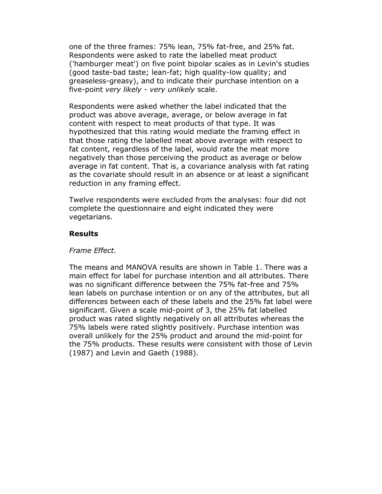one of the three frames: 75% lean, 75% fat-free, and 25% fat. Respondents were asked to rate the labelled meat product ('hamburger meat') on five point bipolar scales as in Levin's studies (good taste-bad taste; lean-fat; high quality-low quality; and greaseless-greasy), and to indicate their purchase intention on a five-point very likely - very unlikely scale.

Respondents were asked whether the label indicated that the product was above average, average, or below average in fat content with respect to meat products of that type. It was hypothesized that this rating would mediate the framing effect in that those rating the labelled meat above average with respect to fat content, regardless of the label, would rate the meat more negatively than those perceiving the product as average or below average in fat content. That is, a covariance analysis with fat rating as the covariate should result in an absence or at least a significant reduction in any framing effect.

Twelve respondents were excluded from the analyses: four did not complete the questionnaire and eight indicated they were vegetarians.

#### Results

#### Frame Effect.

The means and MANOVA results are shown in Table 1. There was a main effect for label for purchase intention and all attributes. There was no significant difference between the 75% fat-free and 75% lean labels on purchase intention or on any of the attributes, but all differences between each of these labels and the 25% fat label were significant. Given a scale mid-point of 3, the 25% fat labelled product was rated slightly negatively on all attributes whereas the 75% labels were rated slightly positively. Purchase intention was overall unlikely for the 25% product and around the mid-point for the 75% products. These results were consistent with those of Levin (1987) and Levin and Gaeth (1988).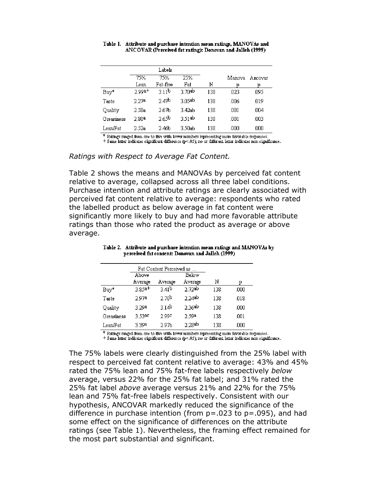| Table 1. Attribute and purchase intention mean ratings, MANOVAs and |
|---------------------------------------------------------------------|
| ANCOVAR (Perceived fat rating): Donovan and Jalleh (1999)           |

|            | Labels |                   |           |     |        |         |
|------------|--------|-------------------|-----------|-----|--------|---------|
|            | 75%    | 75%               | 25%       |     | Manova | Ancovar |
|            | Lean   | Fat-free          | Fat       | N   | 10     | 10.     |
| Buy*       | 2.99a+ | 3.11 <sup>b</sup> | 3.70ab    | 138 | .023   | .095    |
| Taste      | 2.27a  | 2.47b             | 3.05ab    | 138 | .006   | .019    |
| Quality    | 2.58a  | 2.67b             | 3.42ab    | 138 | .001   | .004    |
| Greasiness | 2.80ª  | 2.65b             | $3.51$ ab | 138 | .001   | .003    |
| Lean/Fat   | 2.52a  | 2.46b             | 3.50ab    | 138 | .000   | .000    |

 $*$  Ratings ranged from one to five with lower rambers representing more favorable responses.

+ Same letter indicates significant difference (p<.05); no or different letter indicates non significance.

#### Ratings with Respect to Average Fat Content.

Table 2 shows the means and MANOVAs by perceived fat content relative to average, collapsed across all three label conditions. Purchase intention and attribute ratings are clearly associated with perceived fat content relative to average: respondents who rated the labelled product as below average in fat content were significantly more likely to buy and had more favorable attribute ratings than those who rated the product as average or above average.

|            |          | Fat Content Perceived as … |         |     |      |
|------------|----------|----------------------------|---------|-----|------|
|            | Above    |                            | Below   |     |      |
|            | Average  | Average                    | Average | Ν   | р    |
| Buy*       | $3.85a+$ | 3.41 <sup>b</sup>          | 2.72ab  | 138 | .000 |
| Taste      | 2.97a    | 2.70 <sup>b</sup>          | 2.24ab  | 138 | .018 |
| Quality    | 3.29a    | 3.14 <sup>b</sup>          | 2.36ab  | 138 | .000 |
| Greasiness | 3.53ac   | 2.99¢                      | 2.59a   | 138 | .001 |
| Lean/Fat   | 3 39a    | 2.97b                      | 2.28ab  | 138 | .000 |

Table 2. Attribute and purchase intention mean ratings and MANOVAs by perceived fat content: Donovan and Jalleh (1999)

 $^\ast$  Ratings ranged from one to five with lower rumbers representing more favorable responses.

+ Same letter indicates significant difference (p<.05); no or different letter indicates non significance.

The 75% labels were clearly distinguished from the 25% label with respect to perceived fat content relative to average: 43% and 45% rated the 75% lean and 75% fat-free labels respectively below average, versus 22% for the 25% fat label; and 31% rated the 25% fat label above average versus 21% and 22% for the 75% lean and 75% fat-free labels respectively. Consistent with our hypothesis, ANCOVAR markedly reduced the significance of the difference in purchase intention (from  $p = .023$  to  $p = .095$ ), and had some effect on the significance of differences on the attribute ratings (see Table 1). Nevertheless, the framing effect remained for the most part substantial and significant.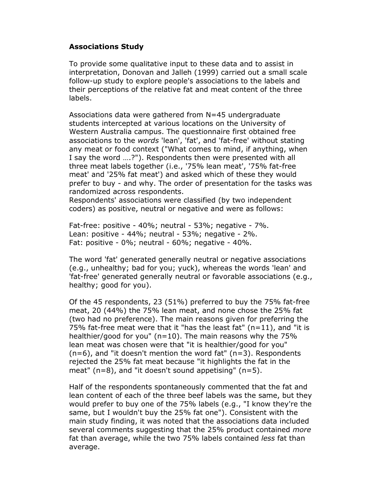## Associations Study

To provide some qualitative input to these data and to assist in interpretation, Donovan and Jalleh (1999) carried out a small scale follow-up study to explore people's associations to the labels and their perceptions of the relative fat and meat content of the three labels.

Associations data were gathered from N=45 undergraduate students intercepted at various locations on the University of Western Australia campus. The questionnaire first obtained free associations to the words 'lean', 'fat', and 'fat-free' without stating any meat or food context ("What comes to mind, if anything, when I say the word ….?"). Respondents then were presented with all three meat labels together (i.e., '75% lean meat', '75% fat-free meat' and '25% fat meat') and asked which of these they would prefer to buy - and why. The order of presentation for the tasks was randomized across respondents.

Respondents' associations were classified (by two independent coders) as positive, neutral or negative and were as follows:

Fat-free: positive - 40%; neutral - 53%; negative - 7%. Lean: positive - 44%; neutral - 53%; negative - 2%. Fat: positive - 0%; neutral - 60%; negative - 40%.

The word 'fat' generated generally neutral or negative associations (e.g., unhealthy; bad for you; yuck), whereas the words 'lean' and 'fat-free' generated generally neutral or favorable associations (e.g., healthy; good for you).

Of the 45 respondents, 23 (51%) preferred to buy the 75% fat-free meat, 20 (44%) the 75% lean meat, and none chose the 25% fat (two had no preference). The main reasons given for preferring the 75% fat-free meat were that it "has the least fat" (n=11), and "it is healthier/good for you" (n=10). The main reasons why the 75% lean meat was chosen were that "it is healthier/good for you"  $(n=6)$ , and "it doesn't mention the word fat"  $(n=3)$ . Respondents rejected the 25% fat meat because "it highlights the fat in the meat"  $(n=8)$ , and "it doesn't sound appetising"  $(n=5)$ .

Half of the respondents spontaneously commented that the fat and lean content of each of the three beef labels was the same, but they would prefer to buy one of the 75% labels (e.g., "I know they're the same, but I wouldn't buy the 25% fat one"). Consistent with the main study finding, it was noted that the associations data included several comments suggesting that the 25% product contained *more* fat than average, while the two 75% labels contained *less* fat than average.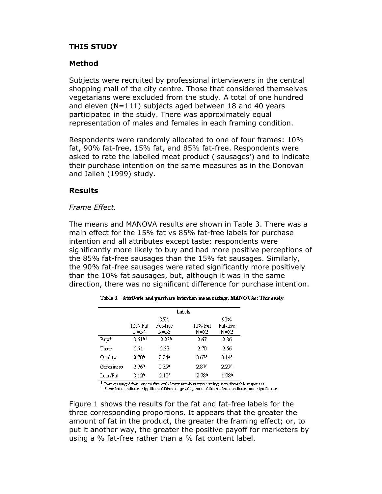## THIS STUDY

#### Method

Subjects were recruited by professional interviewers in the central shopping mall of the city centre. Those that considered themselves vegetarians were excluded from the study. A total of one hundred and eleven (N=111) subjects aged between 18 and 40 years participated in the study. There was approximately equal representation of males and females in each framing condition.

Respondents were randomly allocated to one of four frames: 10% fat, 90% fat-free, 15% fat, and 85% fat-free. Respondents were asked to rate the labelled meat product ('sausages') and to indicate their purchase intention on the same measures as in the Donovan and Jalleh (1999) study.

#### Results

#### Frame Effect.

The means and MANOVA results are shown in Table 3. There was a main effect for the 15% fat vs 85% fat-free labels for purchase intention and all attributes except taste: respondents were significantly more likely to buy and had more positive perceptions of the 85% fat-free sausages than the 15% fat sausages. Similarly, the 90% fat-free sausages were rated significantly more positively than the 10% fat sausages, but, although it was in the same direction, there was no significant difference for purchase intention.

|            |                 |                         | Labels |                 |                         |
|------------|-----------------|-------------------------|--------|-----------------|-------------------------|
|            | 15% Fat<br>N=54 | 85%<br>Fat-free<br>N=53 |        | 10% Fat<br>N=52 | 90%<br>Fat-free<br>N=52 |
| Buy*       | 3.51a+          | 2.23ª                   |        | 2.67            | 2.36                    |
| Taste      | 2.71            | 2.33                    |        | 2.70            | 2.56                    |
| Quality    | 2.70ª           | 2 24ª                   |        | 2.67ª           | 2.14a                   |
| Greasiness | 2.96ª           | 2.35ª                   |        | 2.87a           | 2.29a                   |
| Lean/Fat   | 3.12a           | 2.10 <sup>a</sup>       |        | 2.78ª           | 1.98ª                   |

| Table 3. Attribute and purchase intention mean ratings, MANOVAs: This study |  |  |  |
|-----------------------------------------------------------------------------|--|--|--|
|                                                                             |  |  |  |

 $^\ast$  Ratings ranged from one to five with lower rambers representing more favorable responses. + Same letter indicates significant difference (p<.05); no or different letter indicates non significance.

Figure 1 shows the results for the fat and fat-free labels for the three corresponding proportions. It appears that the greater the amount of fat in the product, the greater the framing effect; or, to put it another way, the greater the positive payoff for marketers by using a % fat-free rather than a % fat content label.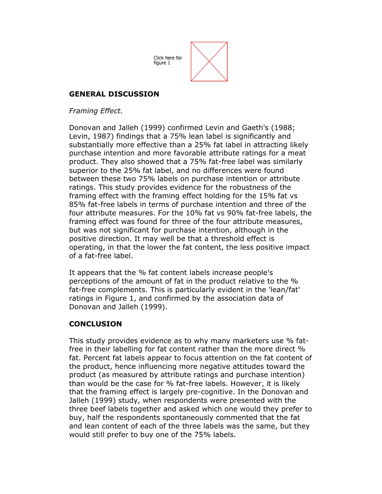Click here for figure 1

# GENERAL DISCUSSION

## Framing Effect.

Donovan and Jalleh (1999) confirmed Levin and Gaeth's (1988; Levin, 1987) findings that a 75% lean label is significantly and substantially more effective than a 25% fat label in attracting likely purchase intention and more favorable attribute ratings for a meat product. They also showed that a 75% fat-free label was similarly superior to the 25% fat label, and no differences were found between these two 75% labels on purchase intention or attribute ratings. This study provides evidence for the robustness of the framing effect with the framing effect holding for the 15% fat vs 85% fat-free labels in terms of purchase intention and three of the four attribute measures. For the 10% fat vs 90% fat-free labels, the framing effect was found for three of the four attribute measures, but was not significant for purchase intention, although in the positive direction. It may well be that a threshold effect is operating, in that the lower the fat content, the less positive impact of a fat-free label.

It appears that the % fat content labels increase people's perceptions of the amount of fat in the product relative to the % fat-free complements. This is particularly evident in the 'lean/fat' ratings in Figure 1, and confirmed by the association data of Donovan and Jalleh (1999).

# **CONCLUSION**

This study provides evidence as to why many marketers use % fatfree in their labelling for fat content rather than the more direct % fat. Percent fat labels appear to focus attention on the fat content of the product, hence influencing more negative attitudes toward the product (as measured by attribute ratings and purchase intention) than would be the case for % fat-free labels. However, it is likely that the framing effect is largely pre-cognitive. In the Donovan and Jalleh (1999) study, when respondents were presented with the three beef labels together and asked which one would they prefer to buy, half the respondents spontaneously commented that the fat and lean content of each of the three labels was the same, but they would still prefer to buy one of the 75% labels.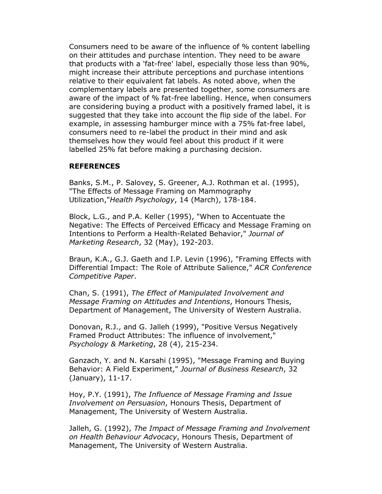Consumers need to be aware of the influence of % content labelling on their attitudes and purchase intention. They need to be aware that products with a 'fat-free' label, especially those less than 90%, might increase their attribute perceptions and purchase intentions relative to their equivalent fat labels. As noted above, when the complementary labels are presented together, some consumers are aware of the impact of % fat-free labelling. Hence, when consumers are considering buying a product with a positively framed label, it is suggested that they take into account the flip side of the label. For example, in assessing hamburger mince with a 75% fat-free label, consumers need to re-label the product in their mind and ask themselves how they would feel about this product if it were labelled 25% fat before making a purchasing decision.

#### REFERENCES

Banks, S.M., P. Salovey, S. Greener, A.J. Rothman et al. (1995), "The Effects of Message Framing on Mammography Utilization,"Health Psychology, 14 (March), 178-184.

Block, L.G., and P.A. Keller (1995), "When to Accentuate the Negative: The Effects of Perceived Efficacy and Message Framing on Intentions to Perform a Health-Related Behavior," Journal of Marketing Research, 32 (May), 192-203.

Braun, K.A., G.J. Gaeth and I.P. Levin (1996), "Framing Effects with Differential Impact: The Role of Attribute Salience," ACR Conference Competitive Paper.

Chan, S. (1991), The Effect of Manipulated Involvement and Message Framing on Attitudes and Intentions, Honours Thesis, Department of Management, The University of Western Australia.

Donovan, R.J., and G. Jalleh (1999), "Positive Versus Negatively Framed Product Attributes: The influence of involvement," Psychology & Marketing, 28 (4), 215-234.

Ganzach, Y. and N. Karsahi (1995), "Message Framing and Buying Behavior: A Field Experiment," Journal of Business Research, 32 (January), 11-17.

Hoy, P.Y. (1991), The Influence of Message Framing and Issue Involvement on Persuasion, Honours Thesis, Department of Management, The University of Western Australia.

Jalleh, G. (1992), The Impact of Message Framing and Involvement on Health Behaviour Advocacy, Honours Thesis, Department of Management, The University of Western Australia.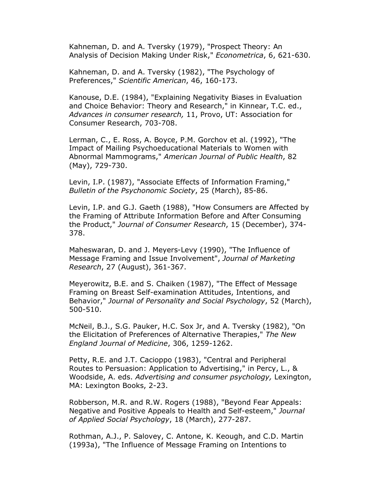Kahneman, D. and A. Tversky (1979), "Prospect Theory: An Analysis of Decision Making Under Risk," Econometrica, 6, 621-630.

Kahneman, D. and A. Tversky (1982), "The Psychology of Preferences," Scientific American, 46, 160-173.

Kanouse, D.E. (1984), "Explaining Negativity Biases in Evaluation and Choice Behavior: Theory and Research," in Kinnear, T.C. ed., Advances in consumer research, 11, Provo, UT: Association for Consumer Research, 703-708.

Lerman, C., E. Ross, A. Boyce, P.M. Gorchov et al. (1992), "The Impact of Mailing Psychoeducational Materials to Women with Abnormal Mammograms," American Journal of Public Health, 82 (May), 729-730.

Levin, I.P. (1987), "Associate Effects of Information Framing," Bulletin of the Psychonomic Society, 25 (March), 85-86.

Levin, I.P. and G.J. Gaeth (1988), "How Consumers are Affected by the Framing of Attribute Information Before and After Consuming the Product," Journal of Consumer Research, 15 (December), 374- 378.

Maheswaran, D. and J. Meyers-Levy (1990), "The Influence of Message Framing and Issue Involvement", Journal of Marketing Research, 27 (August), 361-367.

Meyerowitz, B.E. and S. Chaiken (1987), "The Effect of Message Framing on Breast Self-examination Attitudes, Intentions, and Behavior," Journal of Personality and Social Psychology, 52 (March), 500-510.

McNeil, B.J., S.G. Pauker, H.C. Sox Jr, and A. Tversky (1982), "On the Elicitation of Preferences of Alternative Therapies," The New England Journal of Medicine, 306, 1259-1262.

Petty, R.E. and J.T. Cacioppo (1983), "Central and Peripheral Routes to Persuasion: Application to Advertising," in Percy, L., & Woodside, A. eds. Advertising and consumer psychology, Lexington, MA: Lexington Books, 2-23.

Robberson, M.R. and R.W. Rogers (1988), "Beyond Fear Appeals: Negative and Positive Appeals to Health and Self-esteem," Journal of Applied Social Psychology, 18 (March), 277-287.

Rothman, A.J., P. Salovey, C. Antone, K. Keough, and C.D. Martin (1993a), "The Influence of Message Framing on Intentions to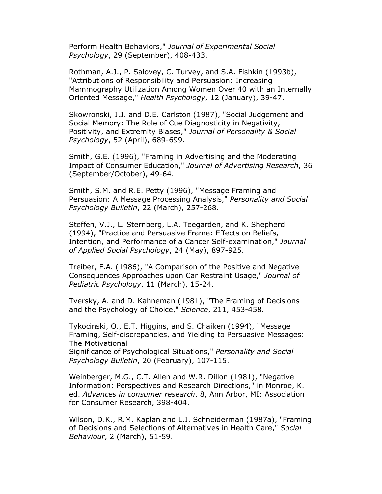Perform Health Behaviors," Journal of Experimental Social Psychology, 29 (September), 408-433.

Rothman, A.J., P. Salovey, C. Turvey, and S.A. Fishkin (1993b), "Attributions of Responsibility and Persuasion: Increasing Mammography Utilization Among Women Over 40 with an Internally Oriented Message," Health Psychology, 12 (January), 39-47.

Skowronski, J.J. and D.E. Carlston (1987), "Social Judgement and Social Memory: The Role of Cue Diagnosticity in Negativity, Positivity, and Extremity Biases," Journal of Personality & Social Psychology, 52 (April), 689-699.

Smith, G.E. (1996), "Framing in Advertising and the Moderating Impact of Consumer Education," Journal of Advertising Research, 36 (September/October), 49-64.

Smith, S.M. and R.E. Petty (1996), "Message Framing and Persuasion: A Message Processing Analysis," Personality and Social Psychology Bulletin, 22 (March), 257-268.

Steffen, V.J., L. Sternberg, L.A. Teegarden, and K. Shepherd (1994), "Practice and Persuasive Frame: Effects on Beliefs, Intention, and Performance of a Cancer Self-examination," Journal of Applied Social Psychology, 24 (May), 897-925.

Treiber, F.A. (1986), "A Comparison of the Positive and Negative Consequences Approaches upon Car Restraint Usage," Journal of Pediatric Psychology, 11 (March), 15-24.

Tversky, A. and D. Kahneman (1981), "The Framing of Decisions and the Psychology of Choice," Science, 211, 453-458.

Tykocinski, O., E.T. Higgins, and S. Chaiken (1994), "Message Framing, Self-discrepancies, and Yielding to Persuasive Messages: The Motivational Significance of Psychological Situations," Personality and Social

Psychology Bulletin, 20 (February), 107-115.

Weinberger, M.G., C.T. Allen and W.R. Dillon (1981), "Negative Information: Perspectives and Research Directions," in Monroe, K. ed. Advances in consumer research, 8, Ann Arbor, MI: Association for Consumer Research, 398-404.

Wilson, D.K., R.M. Kaplan and L.J. Schneiderman (1987a), "Framing of Decisions and Selections of Alternatives in Health Care," Social Behaviour, 2 (March), 51-59.